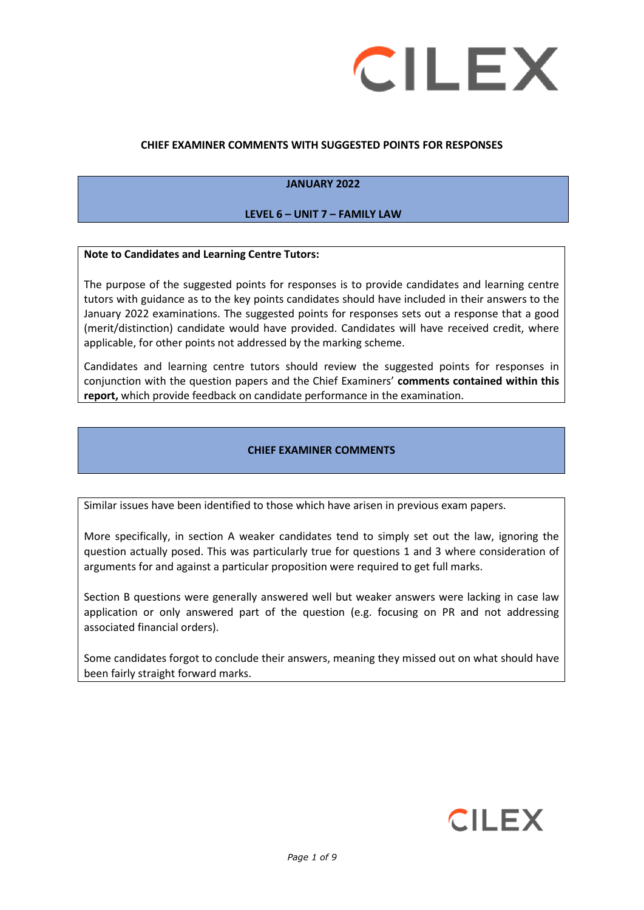

#### **CHIEF EXAMINER COMMENTS WITH SUGGESTED POINTS FOR RESPONSES**

#### **JANUARY 2022**

#### **LEVEL 6 – UNIT 7 – FAMILY LAW**

#### **Note to Candidates and Learning Centre Tutors:**

The purpose of the suggested points for responses is to provide candidates and learning centre tutors with guidance as to the key points candidates should have included in their answers to the January 2022 examinations. The suggested points for responses sets out a response that a good (merit/distinction) candidate would have provided. Candidates will have received credit, where applicable, for other points not addressed by the marking scheme.

Candidates and learning centre tutors should review the suggested points for responses in conjunction with the question papers and the Chief Examiners' **comments contained within this report,** which provide feedback on candidate performance in the examination.

#### **CHIEF EXAMINER COMMENTS**

Similar issues have been identified to those which have arisen in previous exam papers.

More specifically, in section A weaker candidates tend to simply set out the law, ignoring the question actually posed. This was particularly true for questions 1 and 3 where consideration of arguments for and against a particular proposition were required to get full marks.

Section B questions were generally answered well but weaker answers were lacking in case law application or only answered part of the question (e.g. focusing on PR and not addressing associated financial orders).

Some candidates forgot to conclude their answers, meaning they missed out on what should have been fairly straight forward marks.

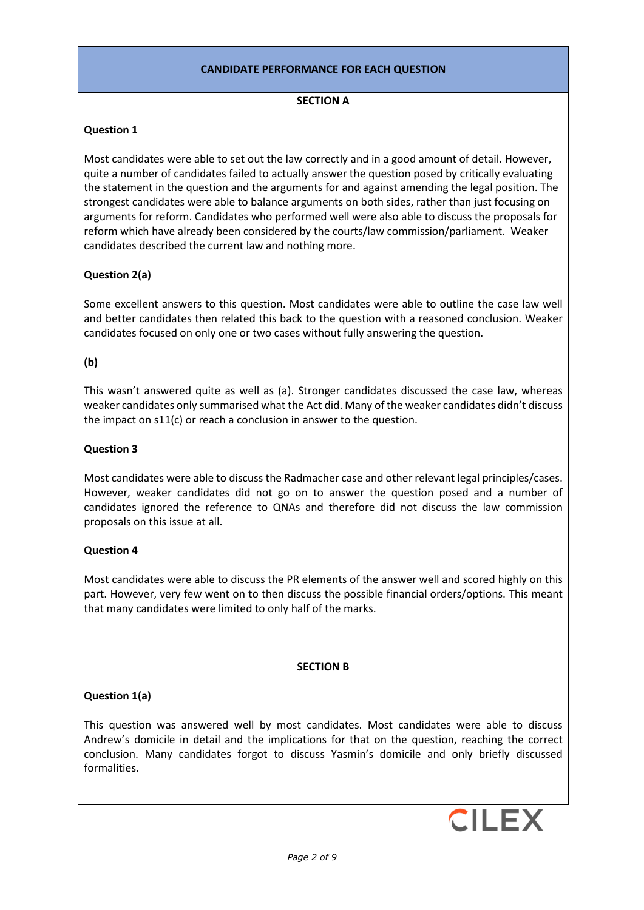## **CANDIDATE PERFORMANCE FOR EACH QUESTION**

#### **SECTION A**

### **Question 1**

Most candidates were able to set out the law correctly and in a good amount of detail. However, quite a number of candidates failed to actually answer the question posed by critically evaluating the statement in the question and the arguments for and against amending the legal position. The strongest candidates were able to balance arguments on both sides, rather than just focusing on arguments for reform. Candidates who performed well were also able to discuss the proposals for reform which have already been considered by the courts/law commission/parliament. Weaker candidates described the current law and nothing more.

### **Question 2(a)**

Some excellent answers to this question. Most candidates were able to outline the case law well and better candidates then related this back to the question with a reasoned conclusion. Weaker candidates focused on only one or two cases without fully answering the question.

### **(b)**

This wasn't answered quite as well as (a). Stronger candidates discussed the case law, whereas weaker candidates only summarised what the Act did. Many of the weaker candidates didn't discuss the impact on s11(c) or reach a conclusion in answer to the question.

## **Question 3**

Most candidates were able to discuss the Radmacher case and other relevant legal principles/cases. However, weaker candidates did not go on to answer the question posed and a number of candidates ignored the reference to QNAs and therefore did not discuss the law commission proposals on this issue at all.

### **Question 4**

Most candidates were able to discuss the PR elements of the answer well and scored highly on this part. However, very few went on to then discuss the possible financial orders/options. This meant that many candidates were limited to only half of the marks.

### **SECTION B**

# **Question 1(a)**

This question was answered well by most candidates. Most candidates were able to discuss Andrew's domicile in detail and the implications for that on the question, reaching the correct conclusion. Many candidates forgot to discuss Yasmin's domicile and only briefly discussed formalities.

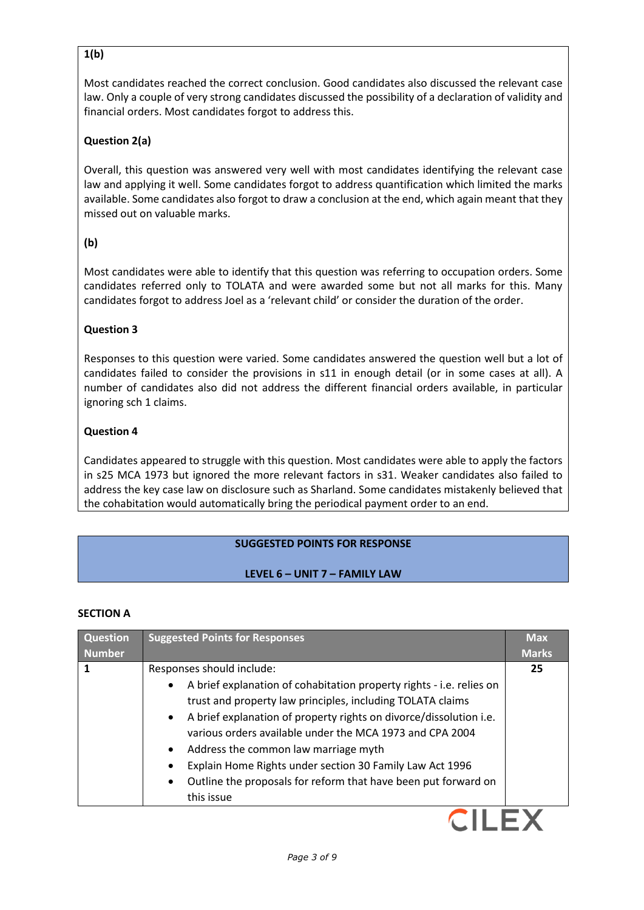## **1(b)**

Most candidates reached the correct conclusion. Good candidates also discussed the relevant case law. Only a couple of very strong candidates discussed the possibility of a declaration of validity and financial orders. Most candidates forgot to address this.

# **Question 2(a)**

Overall, this question was answered very well with most candidates identifying the relevant case law and applying it well. Some candidates forgot to address quantification which limited the marks available. Some candidates also forgot to draw a conclusion at the end, which again meant that they missed out on valuable marks.

# **(b)**

Most candidates were able to identify that this question was referring to occupation orders. Some candidates referred only to TOLATA and were awarded some but not all marks for this. Many candidates forgot to address Joel as a 'relevant child' or consider the duration of the order.

### **Question 3**

Responses to this question were varied. Some candidates answered the question well but a lot of candidates failed to consider the provisions in s11 in enough detail (or in some cases at all). A number of candidates also did not address the different financial orders available, in particular ignoring sch 1 claims.

### **Question 4**

Candidates appeared to struggle with this question. Most candidates were able to apply the factors in s25 MCA 1973 but ignored the more relevant factors in s31. Weaker candidates also failed to address the key case law on disclosure such as Sharland. Some candidates mistakenly believed that the cohabitation would automatically bring the periodical payment order to an end.

### **SUGGESTED POINTS FOR RESPONSE**

### **LEVEL 6 – UNIT 7 – FAMILY LAW**

#### **SECTION A**

| <b>Question</b> | <b>Suggested Points for Responses</b>                                             | <b>Max</b>   |
|-----------------|-----------------------------------------------------------------------------------|--------------|
| <b>Number</b>   |                                                                                   | <b>Marks</b> |
|                 | Responses should include:                                                         | 25           |
|                 | A brief explanation of cohabitation property rights - i.e. relies on<br>$\bullet$ |              |
|                 | trust and property law principles, including TOLATA claims                        |              |
|                 | A brief explanation of property rights on divorce/dissolution i.e.<br>$\bullet$   |              |
|                 | various orders available under the MCA 1973 and CPA 2004                          |              |
|                 | Address the common law marriage myth<br>$\bullet$                                 |              |
|                 | Explain Home Rights under section 30 Family Law Act 1996<br>٠                     |              |
|                 | Outline the proposals for reform that have been put forward on<br>$\bullet$       |              |
|                 | this issue                                                                        |              |
|                 |                                                                                   |              |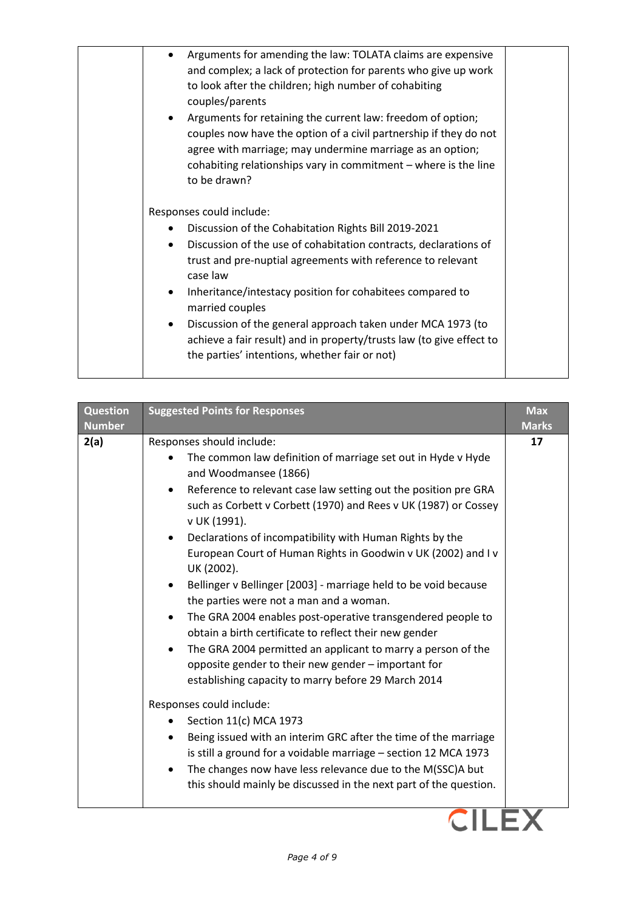| Arguments for amending the law: TOLATA claims are expensive              |  |
|--------------------------------------------------------------------------|--|
| and complex; a lack of protection for parents who give up work           |  |
| to look after the children; high number of cohabiting                    |  |
| couples/parents                                                          |  |
| Arguments for retaining the current law: freedom of option;<br>$\bullet$ |  |
| couples now have the option of a civil partnership if they do not        |  |
| agree with marriage; may undermine marriage as an option;                |  |
| cohabiting relationships vary in commitment - where is the line          |  |
| to be drawn?                                                             |  |
|                                                                          |  |
| Responses could include:                                                 |  |
| Discussion of the Cohabitation Rights Bill 2019-2021                     |  |
| Discussion of the use of cohabitation contracts, declarations of         |  |
| trust and pre-nuptial agreements with reference to relevant              |  |
| case law                                                                 |  |
| Inheritance/intestacy position for cohabitees compared to<br>٠           |  |
| married couples                                                          |  |
| Discussion of the general approach taken under MCA 1973 (to<br>$\bullet$ |  |
| achieve a fair result) and in property/trusts law (to give effect to     |  |
| the parties' intentions, whether fair or not)                            |  |
|                                                                          |  |

| <b>Question</b><br><b>Number</b> | <b>Suggested Points for Responses</b>                                                                                                                                                                                                                                                                                                                                                                                                                                                                                                                                                                                                                                                                                                                                                                                                                                                                                                                                                                                                                                                                                                                                                                                                    | <b>Max</b><br><b>Marks</b> |
|----------------------------------|------------------------------------------------------------------------------------------------------------------------------------------------------------------------------------------------------------------------------------------------------------------------------------------------------------------------------------------------------------------------------------------------------------------------------------------------------------------------------------------------------------------------------------------------------------------------------------------------------------------------------------------------------------------------------------------------------------------------------------------------------------------------------------------------------------------------------------------------------------------------------------------------------------------------------------------------------------------------------------------------------------------------------------------------------------------------------------------------------------------------------------------------------------------------------------------------------------------------------------------|----------------------------|
| 2(a)                             | Responses should include:<br>The common law definition of marriage set out in Hyde v Hyde<br>and Woodmansee (1866)<br>Reference to relevant case law setting out the position pre GRA<br>$\bullet$<br>such as Corbett v Corbett (1970) and Rees v UK (1987) or Cossey<br>v UK (1991).<br>Declarations of incompatibility with Human Rights by the<br>European Court of Human Rights in Goodwin v UK (2002) and I v<br>UK (2002).<br>Bellinger v Bellinger [2003] - marriage held to be void because<br>the parties were not a man and a woman.<br>The GRA 2004 enables post-operative transgendered people to<br>$\bullet$<br>obtain a birth certificate to reflect their new gender<br>The GRA 2004 permitted an applicant to marry a person of the<br>opposite gender to their new gender - important for<br>establishing capacity to marry before 29 March 2014<br>Responses could include:<br>Section 11(c) MCA 1973<br>$\bullet$<br>Being issued with an interim GRC after the time of the marriage<br>$\bullet$<br>is still a ground for a voidable marriage - section 12 MCA 1973<br>The changes now have less relevance due to the M(SSC)A but<br>$\bullet$<br>this should mainly be discussed in the next part of the question. | 17                         |
|                                  |                                                                                                                                                                                                                                                                                                                                                                                                                                                                                                                                                                                                                                                                                                                                                                                                                                                                                                                                                                                                                                                                                                                                                                                                                                          |                            |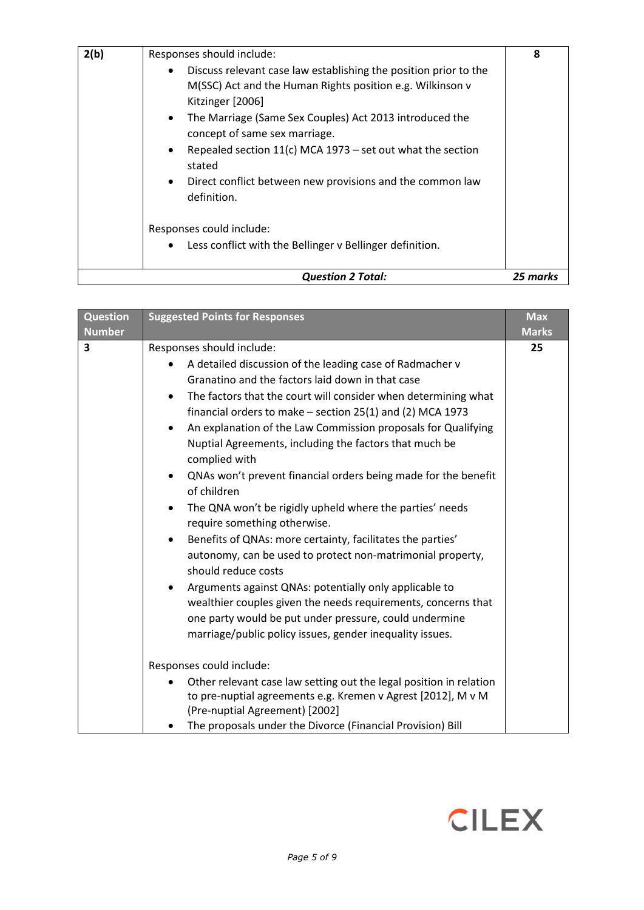| The Marriage (Same Sex Couples) Act 2013 introduced the<br>$\bullet$<br>concept of same sex marriage.<br>Repealed section 11(c) MCA 1973 – set out what the section<br>$\bullet$<br>stated<br>Direct conflict between new provisions and the common law<br>$\bullet$<br>definition.<br>Responses could include: |          |
|-----------------------------------------------------------------------------------------------------------------------------------------------------------------------------------------------------------------------------------------------------------------------------------------------------------------|----------|
| Less conflict with the Bellinger v Bellinger definition.<br>٠<br><b>Question 2 Total:</b>                                                                                                                                                                                                                       | 25 marks |

| <b>Question</b> | <b>Suggested Points for Responses</b>                                             | <b>Max</b>   |
|-----------------|-----------------------------------------------------------------------------------|--------------|
| <b>Number</b>   |                                                                                   | <b>Marks</b> |
| 3               | Responses should include:                                                         | 25           |
|                 | A detailed discussion of the leading case of Radmacher v<br>$\bullet$             |              |
|                 | Granatino and the factors laid down in that case                                  |              |
|                 | The factors that the court will consider when determining what<br>$\bullet$       |              |
|                 | financial orders to make $-$ section 25(1) and (2) MCA 1973                       |              |
|                 | An explanation of the Law Commission proposals for Qualifying<br>$\bullet$        |              |
|                 | Nuptial Agreements, including the factors that much be<br>complied with           |              |
|                 | QNAs won't prevent financial orders being made for the benefit<br>$\bullet$       |              |
|                 | of children                                                                       |              |
|                 | The QNA won't be rigidly upheld where the parties' needs                          |              |
|                 | require something otherwise.                                                      |              |
|                 | Benefits of QNAs: more certainty, facilitates the parties'                        |              |
|                 | autonomy, can be used to protect non-matrimonial property,<br>should reduce costs |              |
|                 |                                                                                   |              |
|                 | Arguments against QNAs: potentially only applicable to                            |              |
|                 | wealthier couples given the needs requirements, concerns that                     |              |
|                 | one party would be put under pressure, could undermine                            |              |
|                 | marriage/public policy issues, gender inequality issues.                          |              |
|                 | Responses could include:                                                          |              |
|                 | Other relevant case law setting out the legal position in relation                |              |
|                 | to pre-nuptial agreements e.g. Kremen v Agrest [2012], M v M                      |              |
|                 | (Pre-nuptial Agreement) [2002]                                                    |              |
|                 | The proposals under the Divorce (Financial Provision) Bill                        |              |

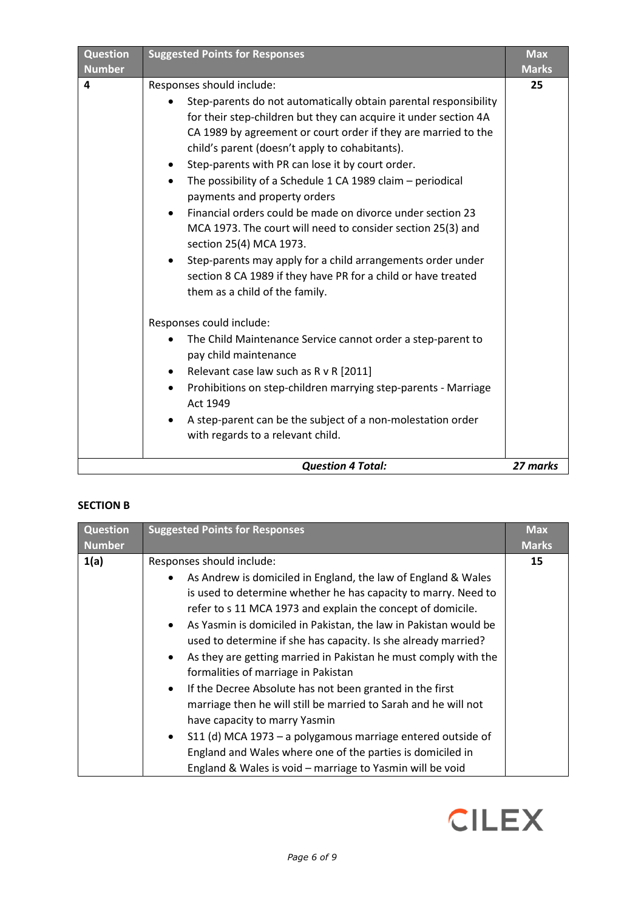| <b>Question</b><br><b>Number</b> | <b>Suggested Points for Responses</b>                                                                                                                                                                                                                                                                                                                                                                                                                                                                                                                                                                                                                                                                                                                                                       | <b>Max</b><br><b>Marks</b> |
|----------------------------------|---------------------------------------------------------------------------------------------------------------------------------------------------------------------------------------------------------------------------------------------------------------------------------------------------------------------------------------------------------------------------------------------------------------------------------------------------------------------------------------------------------------------------------------------------------------------------------------------------------------------------------------------------------------------------------------------------------------------------------------------------------------------------------------------|----------------------------|
| 4                                | Responses should include:<br>Step-parents do not automatically obtain parental responsibility<br>for their step-children but they can acquire it under section 4A<br>CA 1989 by agreement or court order if they are married to the<br>child's parent (doesn't apply to cohabitants).<br>Step-parents with PR can lose it by court order.<br>$\bullet$<br>The possibility of a Schedule 1 CA 1989 claim - periodical<br>$\bullet$<br>payments and property orders<br>Financial orders could be made on divorce under section 23<br>MCA 1973. The court will need to consider section 25(3) and<br>section 25(4) MCA 1973.<br>Step-parents may apply for a child arrangements order under<br>section 8 CA 1989 if they have PR for a child or have treated<br>them as a child of the family. | 25                         |
|                                  | Responses could include:<br>The Child Maintenance Service cannot order a step-parent to<br>pay child maintenance<br>Relevant case law such as R v R [2011]<br>$\bullet$<br>Prohibitions on step-children marrying step-parents - Marriage<br>Act 1949<br>A step-parent can be the subject of a non-molestation order<br>with regards to a relevant child.                                                                                                                                                                                                                                                                                                                                                                                                                                   |                            |
|                                  | <b>Question 4 Total:</b>                                                                                                                                                                                                                                                                                                                                                                                                                                                                                                                                                                                                                                                                                                                                                                    | 27 marks                   |

## **SECTION B**

| <b>Question</b> | <b>Suggested Points for Responses</b>                                                                                                                                                                                                                                                                                                                                                                                                                                                                                                                                                                                                                                                   | <b>Max</b>   |
|-----------------|-----------------------------------------------------------------------------------------------------------------------------------------------------------------------------------------------------------------------------------------------------------------------------------------------------------------------------------------------------------------------------------------------------------------------------------------------------------------------------------------------------------------------------------------------------------------------------------------------------------------------------------------------------------------------------------------|--------------|
| <b>Number</b>   |                                                                                                                                                                                                                                                                                                                                                                                                                                                                                                                                                                                                                                                                                         | <b>Marks</b> |
| 1(a)            | Responses should include:<br>As Andrew is domiciled in England, the law of England & Wales<br>٠<br>is used to determine whether he has capacity to marry. Need to<br>refer to s 11 MCA 1973 and explain the concept of domicile.<br>As Yasmin is domiciled in Pakistan, the law in Pakistan would be<br>$\bullet$<br>used to determine if she has capacity. Is she already married?<br>As they are getting married in Pakistan he must comply with the<br>$\bullet$<br>formalities of marriage in Pakistan<br>If the Decree Absolute has not been granted in the first<br>$\bullet$<br>marriage then he will still be married to Sarah and he will not<br>have capacity to marry Yasmin | 15           |
|                 | S11 (d) MCA 1973 - a polygamous marriage entered outside of<br>$\bullet$<br>England and Wales where one of the parties is domiciled in<br>England & Wales is void - marriage to Yasmin will be void                                                                                                                                                                                                                                                                                                                                                                                                                                                                                     |              |

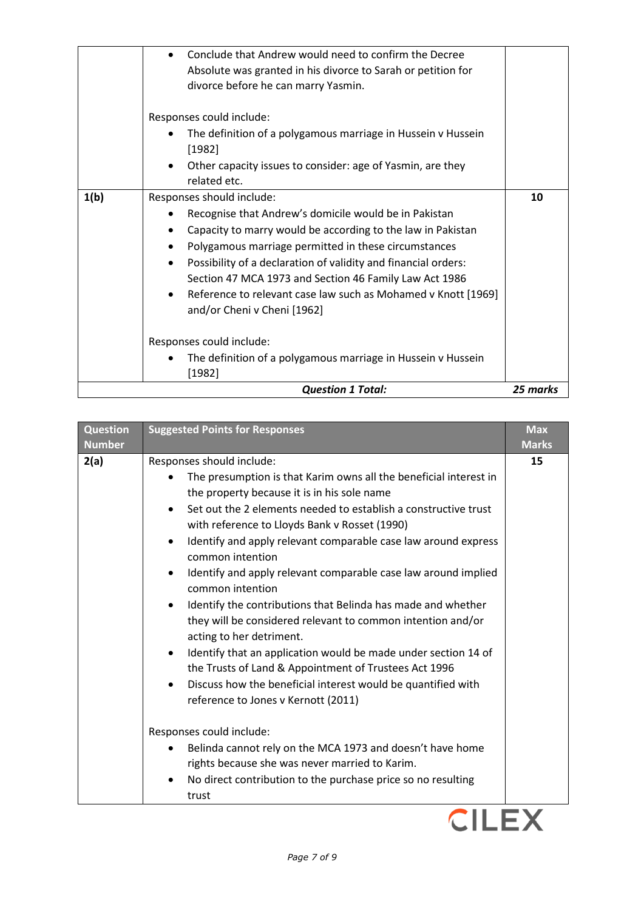|      | <b>Question 1 Total:</b>                                                                                                 | 25 marks |
|------|--------------------------------------------------------------------------------------------------------------------------|----------|
|      | The definition of a polygamous marriage in Hussein v Hussein<br>[1982]                                                   |          |
|      | Responses could include:                                                                                                 |          |
|      | and/or Cheni v Cheni [1962]                                                                                              |          |
|      | Reference to relevant case law such as Mohamed v Knott [1969]                                                            |          |
|      | Section 47 MCA 1973 and Section 46 Family Law Act 1986                                                                   |          |
|      | Possibility of a declaration of validity and financial orders:<br>٠                                                      |          |
|      | Capacity to marry would be according to the law in Pakistan<br>٠<br>Polygamous marriage permitted in these circumstances |          |
|      | Recognise that Andrew's domicile would be in Pakistan                                                                    |          |
| 1(b) | Responses should include:                                                                                                | 10       |
|      | Other capacity issues to consider: age of Yasmin, are they<br>related etc.                                               |          |
|      | [1982]                                                                                                                   |          |
|      | The definition of a polygamous marriage in Hussein v Hussein                                                             |          |
|      | Responses could include:                                                                                                 |          |
|      | divorce before he can marry Yasmin.                                                                                      |          |
|      | Absolute was granted in his divorce to Sarah or petition for                                                             |          |
|      | Conclude that Andrew would need to confirm the Decree                                                                    |          |

| <b>Question</b> | <b>Suggested Points for Responses</b>                                                                                                                                                                                                                                                                                                                                                                                                                                                                                                                                                                                                                                                                                                                                                                                                                                                                                                                                                                                                                                                                                                | <b>Max</b>   |
|-----------------|--------------------------------------------------------------------------------------------------------------------------------------------------------------------------------------------------------------------------------------------------------------------------------------------------------------------------------------------------------------------------------------------------------------------------------------------------------------------------------------------------------------------------------------------------------------------------------------------------------------------------------------------------------------------------------------------------------------------------------------------------------------------------------------------------------------------------------------------------------------------------------------------------------------------------------------------------------------------------------------------------------------------------------------------------------------------------------------------------------------------------------------|--------------|
| <b>Number</b>   |                                                                                                                                                                                                                                                                                                                                                                                                                                                                                                                                                                                                                                                                                                                                                                                                                                                                                                                                                                                                                                                                                                                                      | <b>Marks</b> |
| 2(a)            | Responses should include:<br>The presumption is that Karim owns all the beneficial interest in<br>the property because it is in his sole name<br>Set out the 2 elements needed to establish a constructive trust<br>٠<br>with reference to Lloyds Bank v Rosset (1990)<br>Identify and apply relevant comparable case law around express<br>$\bullet$<br>common intention<br>Identify and apply relevant comparable case law around implied<br>$\bullet$<br>common intention<br>Identify the contributions that Belinda has made and whether<br>$\bullet$<br>they will be considered relevant to common intention and/or<br>acting to her detriment.<br>Identify that an application would be made under section 14 of<br>$\bullet$<br>the Trusts of Land & Appointment of Trustees Act 1996<br>Discuss how the beneficial interest would be quantified with<br>$\bullet$<br>reference to Jones v Kernott (2011)<br>Responses could include:<br>Belinda cannot rely on the MCA 1973 and doesn't have home<br>rights because she was never married to Karim.<br>No direct contribution to the purchase price so no resulting<br>trust | 15           |
|                 | CILE                                                                                                                                                                                                                                                                                                                                                                                                                                                                                                                                                                                                                                                                                                                                                                                                                                                                                                                                                                                                                                                                                                                                 |              |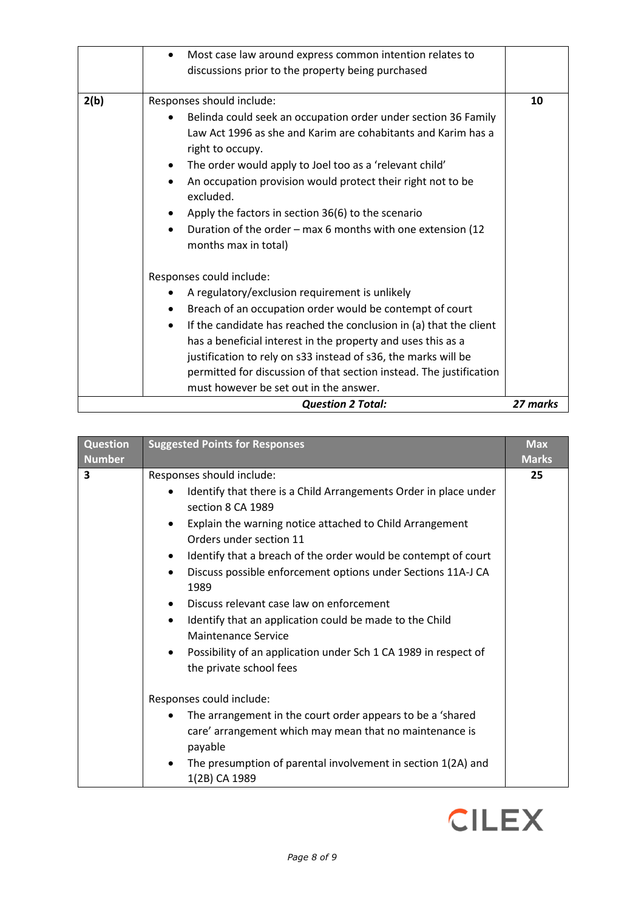|      | Most case law around express common intention relates to                                                                                                                                                                                                                                                                                                                                                                                                                                    |          |
|------|---------------------------------------------------------------------------------------------------------------------------------------------------------------------------------------------------------------------------------------------------------------------------------------------------------------------------------------------------------------------------------------------------------------------------------------------------------------------------------------------|----------|
|      | discussions prior to the property being purchased                                                                                                                                                                                                                                                                                                                                                                                                                                           |          |
| 2(b) | Responses should include:<br>Belinda could seek an occupation order under section 36 Family<br>Law Act 1996 as she and Karim are cohabitants and Karim has a<br>right to occupy.<br>The order would apply to Joel too as a 'relevant child'<br>٠<br>An occupation provision would protect their right not to be<br>$\bullet$<br>excluded.<br>Apply the factors in section 36(6) to the scenario<br>٠<br>Duration of the order - max 6 months with one extension (12<br>months max in total) | 10       |
|      | Responses could include:<br>A regulatory/exclusion requirement is unlikely<br>Breach of an occupation order would be contempt of court<br>$\bullet$<br>If the candidate has reached the conclusion in (a) that the client<br>has a beneficial interest in the property and uses this as a<br>justification to rely on s33 instead of s36, the marks will be<br>permitted for discussion of that section instead. The justification<br>must however be set out in the answer.                |          |
|      | <b>Question 2 Total:</b>                                                                                                                                                                                                                                                                                                                                                                                                                                                                    | 27 marks |

| <b>Question</b><br><b>Number</b> | <b>Suggested Points for Responses</b>                                                                                                                                                                                                                                                                                                                                                                                                                                                                                                                                                                                                                         | <b>Max</b><br><b>Marks</b> |
|----------------------------------|---------------------------------------------------------------------------------------------------------------------------------------------------------------------------------------------------------------------------------------------------------------------------------------------------------------------------------------------------------------------------------------------------------------------------------------------------------------------------------------------------------------------------------------------------------------------------------------------------------------------------------------------------------------|----------------------------|
| 3                                | Responses should include:<br>Identify that there is a Child Arrangements Order in place under<br>$\bullet$<br>section 8 CA 1989<br>Explain the warning notice attached to Child Arrangement<br>Orders under section 11<br>Identify that a breach of the order would be contempt of court<br>$\bullet$<br>Discuss possible enforcement options under Sections 11A-J CA<br>$\bullet$<br>1989<br>Discuss relevant case law on enforcement<br>$\bullet$<br>Identify that an application could be made to the Child<br>$\bullet$<br>Maintenance Service<br>Possibility of an application under Sch 1 CA 1989 in respect of<br>$\bullet$<br>the private school fees | 25                         |
|                                  | Responses could include:<br>The arrangement in the court order appears to be a 'shared<br>$\bullet$<br>care' arrangement which may mean that no maintenance is<br>payable<br>The presumption of parental involvement in section 1(2A) and<br>1(2B) CA 1989                                                                                                                                                                                                                                                                                                                                                                                                    |                            |